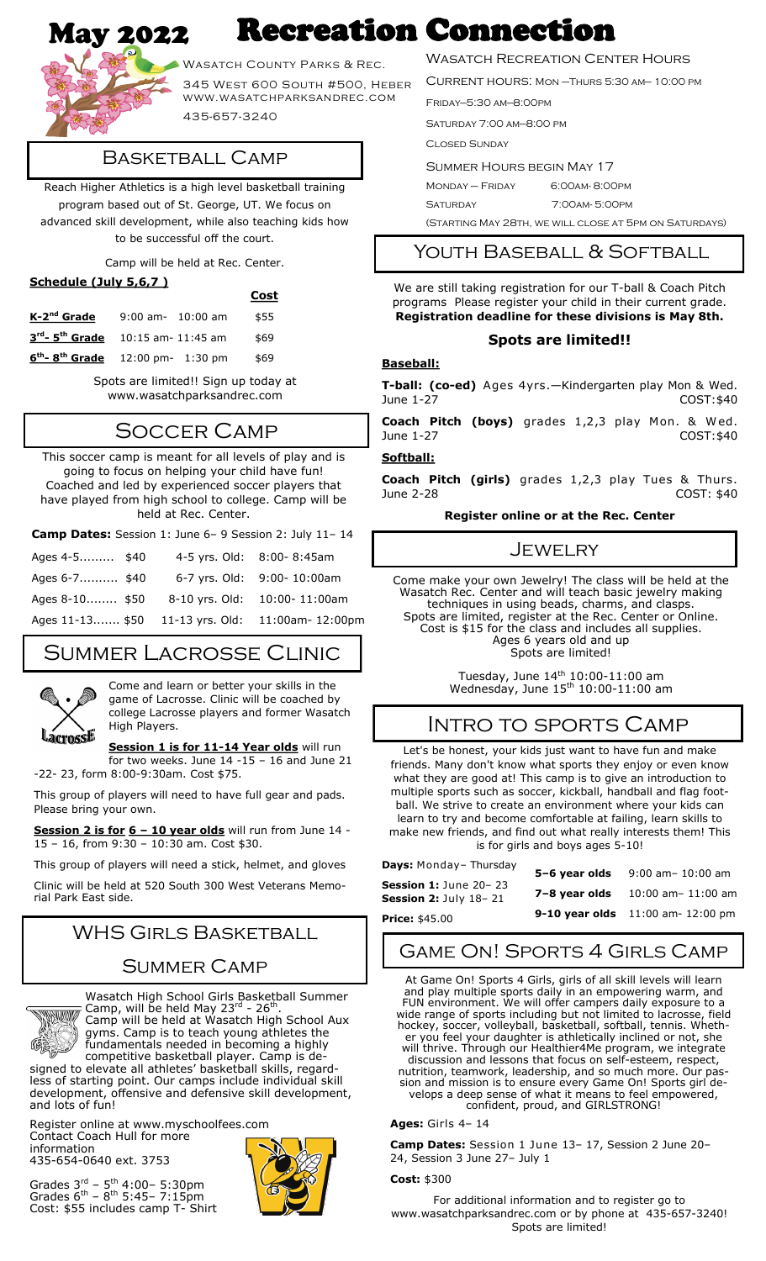# May 2022 Recreation Connection



Wasatch County Parks & Rec.

345 West 600 South #500, Heber www.wasatchparksandrec.com

435-657-3240

### Basketball Camp

Reach Higher Athletics is a high level basketball training program based out of St. George, UT. We focus on advanced skill development, while also teaching kids how to be successful off the court.

Camp will be held at Rec. Center.

| Schedule (July 5,6,7)                               |                       |  |      |  |  |  |
|-----------------------------------------------------|-----------------------|--|------|--|--|--|
|                                                     |                       |  | Cost |  |  |  |
| K-2 <sup>nd</sup> Grade                             | $9:00$ am- $10:00$ am |  | \$55 |  |  |  |
| $3^{rd}$ - 5 <sup>th</sup> Grade 10:15 am- 11:45 am |                       |  | \$69 |  |  |  |
| $6^{th}$ - 8 <sup>th</sup> Grade 12:00 pm-1:30 pm   |                       |  | \$69 |  |  |  |

Spots are limited!! Sign up today at www.wasatchparksandrec.com

# Soccer Camp

This soccer camp is meant for all levels of play and is going to focus on helping your child have fun! Coached and led by experienced soccer players that have played from high school to college. Camp will be held at Rec. Center.

| Camp Dates: Session 1: June 6-9 Session 2: July 11-14 |  |                           |                                                  |  |  |
|-------------------------------------------------------|--|---------------------------|--------------------------------------------------|--|--|
| Ages 4-5 \$40                                         |  | 4-5 yrs. Old: 8:00-8:45am |                                                  |  |  |
| Ages 6-7 \$40                                         |  |                           | 6-7 yrs. Old: 9:00- 10:00am                      |  |  |
| Ages 8-10 \$50                                        |  |                           | 8-10 yrs. Old: 10:00-11:00am                     |  |  |
|                                                       |  |                           | Ages 11-13 \$50 11-13 yrs. Old: 11:00am- 12:00pm |  |  |

# Summer Lacrosse Clinic



Come and learn or better your skills in the game of Lacrosse. Clinic will be coached by college Lacrosse players and former Wasatch High Players.

**Session 1 is for 11-14 Year olds** will run for two weeks. June  $14 - 15 - 16$  and June 21

-22- 23, form 8:00-9:30am. Cost \$75.

This group of players will need to have full gear and pads. Please bring your own.

**Session 2 is for 6 – 10 year olds** will run from June 14 - 15 – 16, from 9:30 – 10:30 am. Cost \$30.

This group of players will need a stick, helmet, and gloves Clinic will be held at 520 South 300 West Veterans Memorial Park East side.

# WHS Girls Basketball

### Summer Camp

Wasatch High School Girls Basketball Summer **THE REAL** Camp, will be held May 23 $^{\text{rd}}$  - 26<sup>th</sup>. Camp will be held at Wasatch High School Aux gyms. Camp is to teach young athletes the

fundamentals needed in becoming a highly competitive basketball player. Camp is designed to elevate all athletes' basketball skills, regardless of starting point. Our camps include individual skill development, offensive and defensive skill development, and lots of fun!

Register online at www.myschoolfees.com Contact Coach Hull for more information

435-654-0640 ext. 3753





### Wasatch Recreation Center Hours

Current hours: Mon –Thurs 5:30 am— 10:00 pm

Friday—5:30 am—8:00pm

Saturday 7:00 am—8:00 pm

Closed Sunday

Summer Hours begin May 17

Monday – Friday 6:00am- 8:00pm

Saturday 7:00am- 5:00pm

(Starting May 28th, we will close at 5pm on Saturdays)

### Youth Baseball & Softball

We are still taking registration for our T-ball & Coach Pitch programs Please register your child in their current grade. **Registration deadline for these divisions is May 8th.**

#### **Spots are limited!!**

### **Baseball:**

**T-ball: (co-ed)** Ages 4yrs.—Kindergarten play Mon & Wed. June 1-27 COST:\$40

**Coach Pitch (boys)** grades 1,2,3 play Mon. & Wed. June 1-27 COST:\$40

#### **Softball:**

**Coach Pitch (girls)** grades 1,2,3 play Tues & Thurs. June 2-28 COST: \$40

#### **Register online or at the Rec. Center**

### Jewelry

Come make your own Jewelry! The class will be held at the Wasatch Rec. Center and will teach basic jewelry making techniques in using beads, charms, and clasps. Spots are limited, register at the Rec. Center or Online. Cost is \$15 for the class and includes all supplies. Ages 6 years old and up Spots are limited!

> Tuesday, June 14<sup>th</sup> 10:00-11:00 am Wednesday, June  $15<sup>th</sup> 10:00-11:00$  am

### Intro to sports Camp

Let's be honest, your kids just want to have fun and make friends. Many don't know what sports they enjoy or even know what they are good at! This camp is to give an introduction to multiple sports such as soccer, kickball, handball and flag football. We strive to create an environment where your kids can learn to try and become comfortable at failing, learn skills to make new friends, and find out what really interests them! This is for girls and boys ages 5-10!

| <b>Days:</b> Monday- Thursday                          | 5-6 year olds | 9:00 am- 10:00 am                       |
|--------------------------------------------------------|---------------|-----------------------------------------|
| <b>Session 1:</b> June 20– 23<br>Session 2: July 18-21 | 7-8 year olds | 10:00 am- 11:00 am                      |
| Price: \$45.00                                         |               | <b>9-10 year olds</b> 11:00 am-12:00 pm |

# Game On! Sports 4 Girls Camp

At Game On! Sports 4 Girls, girls of all skill levels will learn and play multiple sports daily in an empowering warm, and FUN environment. We will offer campers daily exposure to a wide range of sports including but not limited to lacrosse, field hockey, soccer, volleyball, basketball, softball, tennis. Whether you feel your daughter is athletically inclined or not, she will thrive. Through our Healthier4Me program, we integrate discussion and lessons that focus on self-esteem, respect, nutrition, teamwork, leadership, and so much more. Our passion and mission is to ensure every Game On! Sports girl develops a deep sense of what it means to feel empowered, confident, proud, and GIRLSTRONG!

**Ages:** Girls 4– 14

**Camp Dates:** Session 1 June 13– 17, Session 2 June 20– 24, Session 3 June 27– July 1

#### **Cost:** \$300

For additional information and to register go to www.wasatchparksandrec.com or by phone at 435-657-3240! Spots are limited!